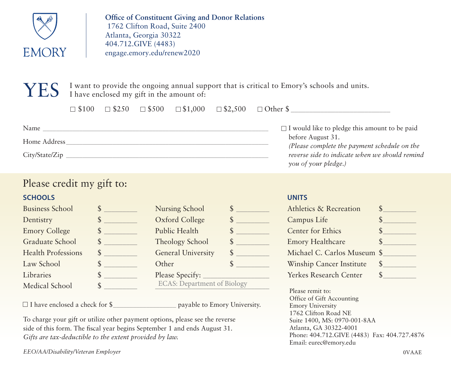

**Office of Constituent Giving and Donor Relations** 1762 Clifton Road, Suite 2400 Atlanta, Georgia 30322 404.712.GIVE (4483) engage.emory.edu/renew2020

 $YES$  I want to provide the ongoing annual support that is critical to Emory's schools and units. I have enclosed my gift in the amount of:

|                |  |  | $\Box$ \$100 $\Box$ \$250 $\Box$ \$500 $\Box$ \$1,000 $\Box$ \$2,500 $\Box$ Other \$ |
|----------------|--|--|--------------------------------------------------------------------------------------|
| Name           |  |  | $\Box$ I would like to pledge this amount to be paid                                 |
| Home Address   |  |  | before August 31.<br>(Please complete the payment schedule on the                    |
| City/State/Zip |  |  | reverse side to indicate when we should remind<br>you of your pledge.)               |

# Please credit my gift to:

# **SCHOOLS**

| <b>Business School</b>    | \$ |
|---------------------------|----|
| Dentistry                 | \$ |
| <b>Emory College</b>      | \$ |
| Graduate School           | \$ |
| <b>Health Professions</b> | \$ |
| Law School                | S  |
| Libraries                 | \$ |
| Medical School            |    |

| \$<br>Nursing School                     |  |
|------------------------------------------|--|
| \$<br>Oxford College                     |  |
| \$<br>Public Health                      |  |
| \$<br>Theology School                    |  |
| \$<br><b>General University</b>          |  |
| \$<br>Other                              |  |
| \$<br>Please Specify:                    |  |
| \$<br><b>ECAS: Department of Biology</b> |  |

 $\Box$  I have enclosed a check for \$  $\Box$  payable to Emory University.

To charge your gift or utilize other payment options, please see the reverse side of this form. The fiscal year begins September 1 and ends August 31. *Gifts are tax-deductible to the extent provided by law.*

*EEO/AA/Disability/Veteran Employer*

#### **UNITS**

| Athletics & Recreation      |  |
|-----------------------------|--|
| Campus Life                 |  |
| Center for Ethics           |  |
| <b>Emory Healthcare</b>     |  |
| Michael C. Carlos Museum \$ |  |
| Winship Cancer Institute    |  |
| Yerkes Research Center      |  |

Please remit to: Office of Gift Accounting Emory University 1762 Clifton Road NE Suite 1400, MS: 0970-001-8AA Atlanta, GA 30322-4001 Phone: 404.712.GIVE (4483) Fax: 404.727.4876 Email: eurec@emory.edu